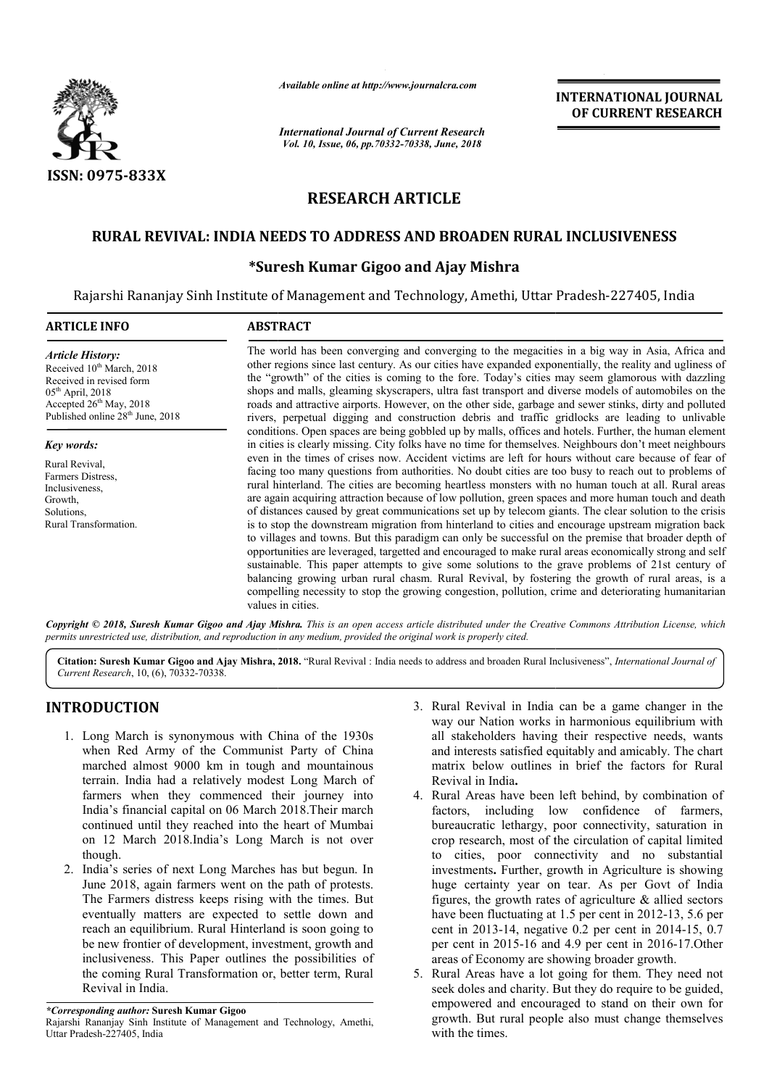

*Available online at http://www.journalcra.com*

*International Journal of Current Research Vol. 10, Issue, 06, pp.70332-70338, June, 2018*

**INTERNATIONAL JOURNAL OF CURRENT RESEARCH**

## **RESEARCH ARTICLE**

## **RURAL REVIVAL: INDIA NEEDS TO ADDRESS AND BROADEN RURAL INCLUSIVENESS**

### **\*Suresh Kumar Gigoo and Ajay Mishra Suresh**

Rajarshi Rananjay Sinh Institute of Management and Technology, Amethi, Uttar Pradesh-227405, India

# **ARTICLE INFO ABSTRACT** The world has been converging and converging to the megacities in a big way in Asia, Africa and The world has been converging and converging to the megacities in a big way in Asia, Africa and other regions since last century. As our cities have expanded exponentially, the reality and ugliness of the "growth" of the cities is coming to the fore. Today's cities may seem glamorous with dazzling shops and malls, gleaming skyscrapers, ultra fast transport and diverse models of automobiles on the roads and attractive airports. However, on the other side, garbage and sewer stinks, dirty and polluted rivers, perpetual digging and construction debris and traffic gridlocks are leading to unlivable conditions. Open spaces are being gobbled up by malls, offices and hotels. Further, the human element in cities is clearly missing. City folks have no time for themselves. Neighbours don't meet neighbours even in the times of crises now. Accident victims are left for hours without care because of fear of facing too many questions from authorities. No doubt cities are too busy to reach out to problems of rural hinterland. The cities are becoming heartless monsters with no human touch at all. Rural areas rural hinterland. The cities are becoming heartless monsters with no human touch at all. Rural areas<br>are again acquiring attraction because of low pollution, green spaces and more human touch and death of distances caused by great communications set up by telecom giants. The clear solution to the crisis is to stop the downstream migration from hinterland to cities and encourage upstream migration back is to stop the downstream migration from hinterland to cities and encourage upstream migration back<br>to villages and towns. But this paradigm can only be successful on the premise that broader depth of opportunities are leveraged leveraged, targetted and encouraged to make rural areas economically strong and self sustainable. This paper attempts to give some solutions to the grave problems of 21st century of balancing growing urban rural chasm. Rural Revival, by fostering the growth of rural areas, is a compelling necessity to stop the growing congestion, pollution, crime and deteriorating humanitarian values in cities. *Article History:* Received 10<sup>th</sup> March, 2018 Received in revised form  $05<sup>th</sup>$  April, 2018 Accepted  $26<sup>th</sup>$  May, 2018 Published online 28<sup>th</sup> June, 2018 *Key words:* Rural Revival, Farmers Distress, Inclusiveness, Growth, Solutions, Rural Transformation. the "growth" of the cities is coming to the fore. Today's cities may seem glamorous with dazzling shops and malls, gleaming skyscrapers, ultra fast transport and diverse models of automobiles on the roads and attractive ai opportunities are leveraged, targetted and encouraged to make rural areas economically strong<br>sustainable. This paper attempts to give some solutions to the grave problems of 21st cer<br>balancing growing urban rural chasm. R **INTERNATIONAL JOURNAL**<br> **OF CURRENT RESEARCH**<br> **OF CURRENT RESEARCH**<br> **OF CURRENT RESEARCH**<br> **OF CURRENT RESEARCH**<br> **ITEL ASSUMPLE CONSERVAT RESEARCH**<br> **ITEL ASSUMPLE CONSERVATE CONSERVATE AND MONEMAL ()** the redision

Copyright © 2018, Suresh Kumar Gigoo and Ajay Mishra. This is an open access article distributed under the Creative Commons Attribution License, which permits unrestricted use, distribution, and reproduction in any medium, provided the original work is properly cited.

Citation: Suresh Kumar Gigoo and Ajay Mishra, 2018. "Rural Revival : India needs to address and broaden Rural Inclusiveness", *International Journal of Current Research*, 10, (6), 70332-70338.

## **INTRODUCTION**

- 1. Long March is synonymous with China of the 1930s when Red Army of the Communist Party of China marched almost 9000 km in tough and mountainous terrain. India had a relatively modest Long March of farmers when they commenced their journey into India's financial capital on 06 March 2018.Their march continued until they reached into the heart of Mumbai on 12 March 2018.India's Long March is not over though.
- 2. India's series of next Long Marches has but begun. In June 2018, again farmers went on the path of protests. The Farmers distress keeps rising with the times. But eventually matters are expected to settle down and reach an equilibrium. Rural Hinterland is soon going to be new frontier of development, investment inclusiveness. This Paper outlines the possibilities of the coming Rural Transformation or, better term, Rural Revival in India. rmers distress keeps rising with the times. But<br>Illy matters are expected to settle down and<br>n equilibrium. Rural Hinterland is soon going to<br>frontier of development, investment, growth and
- 3. Rural Revival in India can be a game changer in the way our Nation works in harmonious equilibrium with way our Nation works in harmonious equilibrium with all stakeholders having their respective needs, wants and interests satisfied equitably and amicably. The chart matrix below outlines in brief the factors for Rural Revival in India**.**
- 4. Rural Areas have been left behind, by combination of factors, including low confidence of farmers, bureaucratic lethargy, poor connectivity, saturation in crop research, most of the circulation of capital limited to cities, poor connectivity and no substantial investments. Further, growth in Agriculture is showing huge certainty year on tear. As per Govt of India figures, the growth rates of agriculture  $\&$  allied sectors figures, the growth rates of agriculture  $\&$  allied sectors have been fluctuating at 1.5 per cent in 2012-13, 5.6 per cent in 2013-14, negative 0.2 per cent in 2014-15, 0.7 per cent in 2015-16 and 4.9 per cent in 2016-17. Other areas of Economy are showing broader growth. and interests satisfied equitably and amicably. The chart<br>matrix below outlines in brief the factors for Rural<br>Revival in India.<br>Rural Areas have been left behind, by combination of<br>factors, including low confidence of far
- 5. Rural Areas have a lot going for them. They need not seek doles and charity. But they do require to be guided, empowered and encouraged to stand on their own for growth. But rural people also must change themselves with the times.

*<sup>\*</sup>Corresponding author:* **Suresh Kumar Gigoo** 

Rajarshi Rananjay Sinh Institute of Management and Technology, Amethi, Uttar Pradesh-227405, India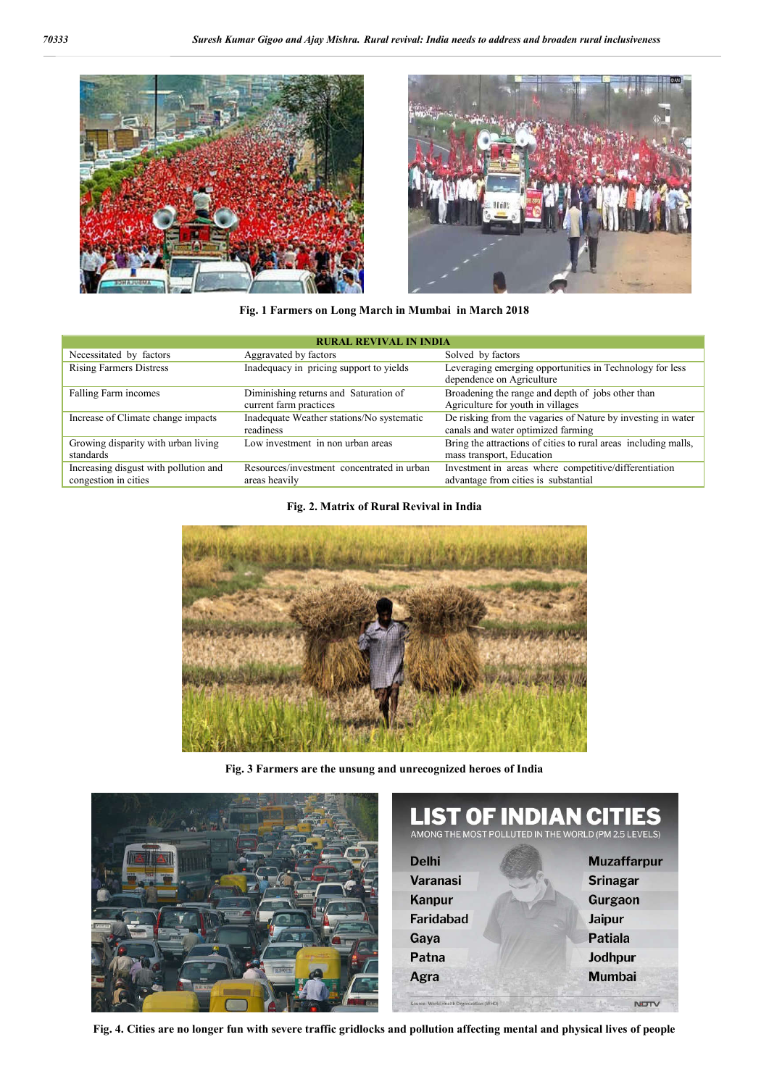



**Fig. 1 Farmers on Long March in Mumbai in March 2018**

| <b>RURAL REVIVAL IN INDIA</b>                                 |                                                                 |                                                                                                    |  |
|---------------------------------------------------------------|-----------------------------------------------------------------|----------------------------------------------------------------------------------------------------|--|
| Necessitated by factors                                       | Aggravated by factors                                           | Solved by factors                                                                                  |  |
| <b>Rising Farmers Distress</b>                                | Inadequacy in pricing support to yields                         | Leveraging emerging opportunities in Technology for less<br>dependence on Agriculture              |  |
| Falling Farm incomes                                          | Diminishing returns and Saturation of<br>current farm practices | Broadening the range and depth of jobs other than<br>Agriculture for youth in villages             |  |
| Increase of Climate change impacts                            | Inadequate Weather stations/No systematic<br>readiness          | De risking from the vagaries of Nature by investing in water<br>canals and water optimized farming |  |
| Growing disparity with urban living<br>standards              | Low investment in non urban areas                               | Bring the attractions of cities to rural areas including malls,<br>mass transport, Education       |  |
| Increasing disgust with pollution and<br>congestion in cities | Resources/investment concentrated in urban<br>areas heavily     | Investment in areas where competitive/differentiation<br>advantage from cities is substantial      |  |

**Fig. 2. Matrix of Rural Revival in India**



**Fig. 3 Farmers are the unsung and unrecognized heroes of India**



|                                         | <b>LIST OF INDIAN CITIES</b><br>AMONG THE MOST POLLUTED IN THE WORLD (PM 2.5 LEVELS) |
|-----------------------------------------|--------------------------------------------------------------------------------------|
| <b>Delhi</b>                            | <b>Muzaffarpur</b>                                                                   |
| Varanasi                                | <b>Srinagar</b>                                                                      |
| <b>Kanpur</b>                           | Gurgaon                                                                              |
| <b>Faridabad</b>                        | <b>Jaipur</b>                                                                        |
| Gaya                                    | Patiala                                                                              |
| Patna                                   | Jodhpur                                                                              |
| Agra                                    | <b>Mumbai</b>                                                                        |
| Source- World Health Organization (WHO) | <b>NUTT</b>                                                                          |

**Fig. 4. Cities are no longer fun with severe traffic gridlocks and pollution affecting mental and physical lives of people**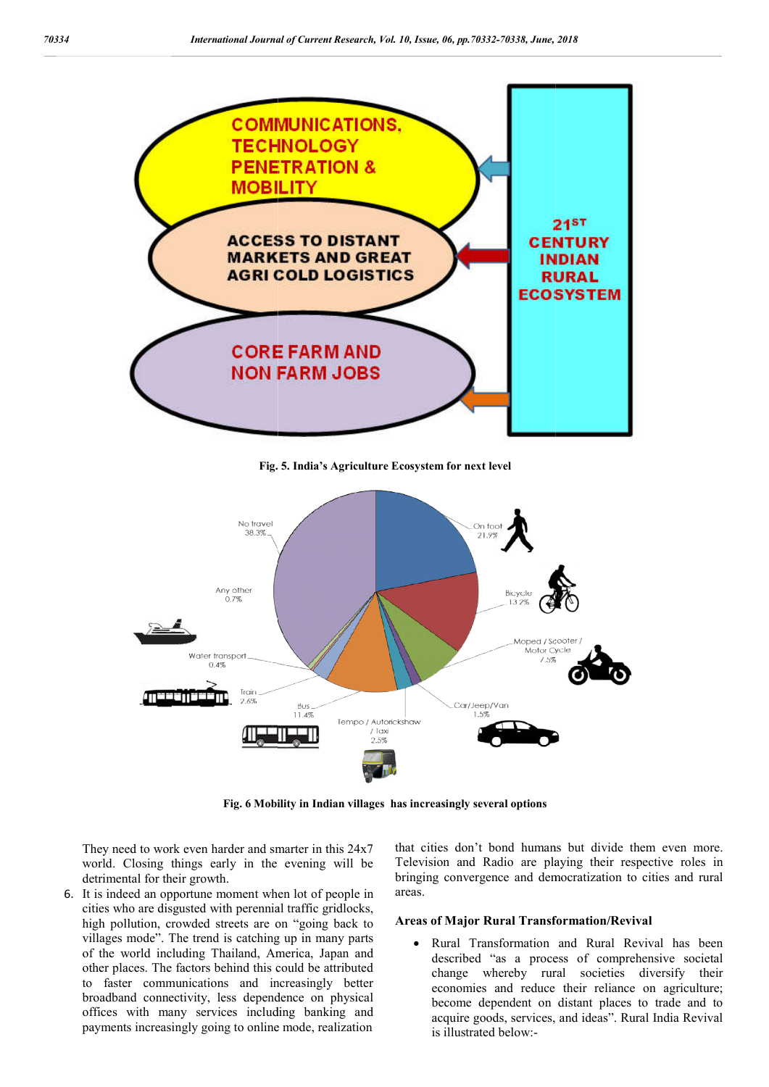

**Fig. 5. India's Agriculture Ecosystem for next level**



**Fig. 6 Mobility in Indian villages has increasingly several options**

They need to work even harder and smarter in this 24x7 world. Closing things early in the evening will be detrimental for their growth.

6. It is indeed an opportune moment when lot of people in cities who are disgusted with perennial traffic gridlocks, high pollution, crowded streets are on "going back to villages mode". The trend is catching up in many parts of the world including Thailand, America, Japan and other places. The factors behind this could be attributed to faster communications and increasingly better broadband connectivity, less dependence on physical offices with many services including banking and payments increasingly going to online mode, realization

that cities don't bond humans but divide them even more. Television and Radio are playing their respective roles in bringing convergence and democratization to cities and rural areas. humans but divide them even a<br>are playing their respective rol<br>and democratization to cities and

#### **Areas of Major Rural Transformation/Revival Areas of**

 Rural Transformation and Rural Revival has been described "as a process of comprehensive societal change whereby rural societies diversify their economies and reduce their reliance on agriculture; become dependent on distant places to trade and to acquire goods, services, and ideas". Rural India Revival is illustrated below:-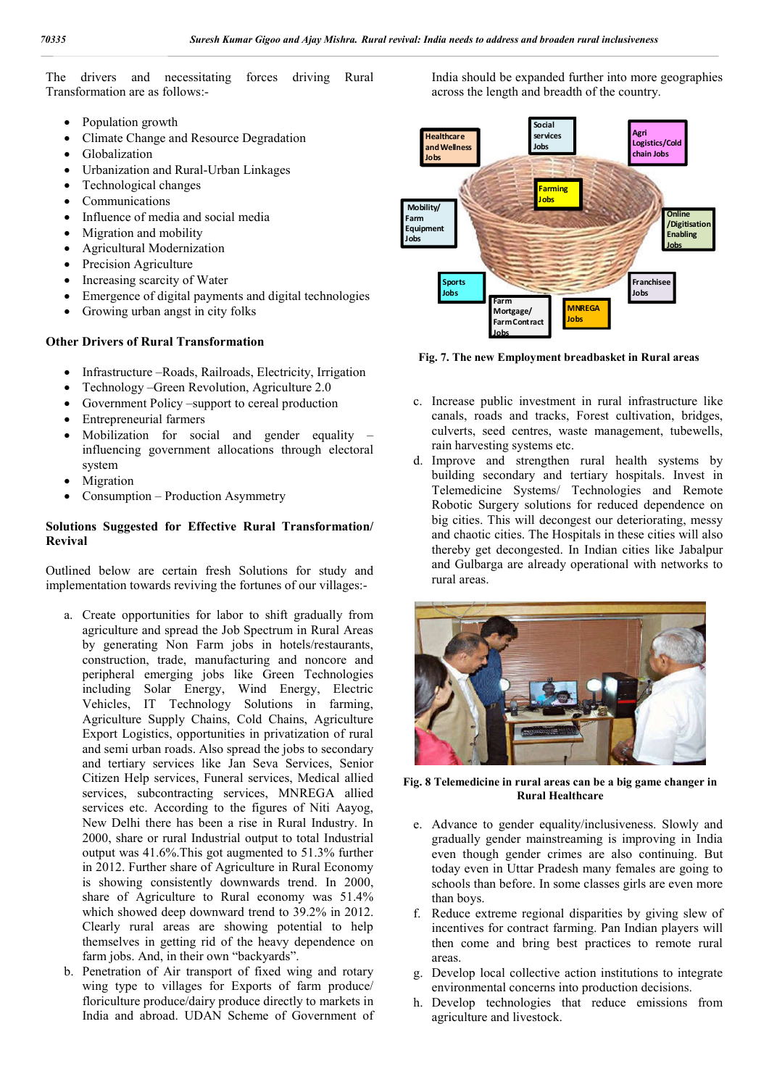The drivers and necessitating forces driving Rural Transformation are as follows:-

- Population growth
- Climate Change and Resource Degradation
- Globalization
- Urbanization and Rural-Urban Linkages
- Technological changes
- Communications
- Influence of media and social media
- Migration and mobility
- Agricultural Modernization
- Precision Agriculture
- Increasing scarcity of Water
- Emergence of digital payments and digital technologies
- Growing urban angst in city folks

#### **Other Drivers of Rural Transformation**

- Infrastructure –Roads, Railroads, Electricity, Irrigation
- Technology –Green Revolution, Agriculture 2.0
- Government Policy –support to cereal production
- Entrepreneurial farmers
- Mobilization for social and gender equality influencing government allocations through electoral system
- Migration
- Consumption Production Asymmetry

#### **Solutions Suggested for Effective Rural Transformation/ Revival**

Outlined below are certain fresh Solutions for study and implementation towards reviving the fortunes of our villages:-

- a. Create opportunities for labor to shift gradually from agriculture and spread the Job Spectrum in Rural Areas by generating Non Farm jobs in hotels/restaurants, construction, trade, manufacturing and noncore and peripheral emerging jobs like Green Technologies including Solar Energy, Wind Energy, Electric Vehicles, IT Technology Solutions in farming, Agriculture Supply Chains, Cold Chains, Agriculture Export Logistics, opportunities in privatization of rural and semi urban roads. Also spread the jobs to secondary and tertiary services like Jan Seva Services, Senior Citizen Help services, Funeral services, Medical allied services, subcontracting services, MNREGA allied services etc. According to the figures of Niti Aayog, New Delhi there has been a rise in Rural Industry. In 2000, share or rural Industrial output to total Industrial output was 41.6%.This got augmented to 51.3% further in 2012. Further share of Agriculture in Rural Economy is showing consistently downwards trend. In 2000, share of Agriculture to Rural economy was 51.4% which showed deep downward trend to 39.2% in 2012. Clearly rural areas are showing potential to help themselves in getting rid of the heavy dependence on farm jobs. And, in their own "backyards".
- b. Penetration of Air transport of fixed wing and rotary wing type to villages for Exports of farm produce/ floriculture produce/dairy produce directly to markets in India and abroad. UDAN Scheme of Government of

India should be expanded further into more geographies across the length and breadth of the country.



**Fig. 7. The new Employment breadbasket in Rural areas**

- c. Increase public investment in rural infrastructure like canals, roads and tracks, Forest cultivation, bridges, culverts, seed centres, waste management, tubewells, rain harvesting systems etc.
- d. Improve and strengthen rural health systems by building secondary and tertiary hospitals. Invest in Telemedicine Systems/ Technologies and Remote Robotic Surgery solutions for reduced dependence on big cities. This will decongest our deteriorating, messy and chaotic cities. The Hospitals in these cities will also thereby get decongested. In Indian cities like Jabalpur and Gulbarga are already operational with networks to rural areas.



**Fig. 8 Telemedicine in rural areas can be a big game changer in Rural Healthcare**

- e. Advance to gender equality/inclusiveness. Slowly and gradually gender mainstreaming is improving in India even though gender crimes are also continuing. But today even in Uttar Pradesh many females are going to schools than before. In some classes girls are even more than boys.
- f. Reduce extreme regional disparities by giving slew of incentives for contract farming. Pan Indian players will then come and bring best practices to remote rural areas.
- g. Develop local collective action institutions to integrate environmental concerns into production decisions.
- h. Develop technologies that reduce emissions from agriculture and livestock.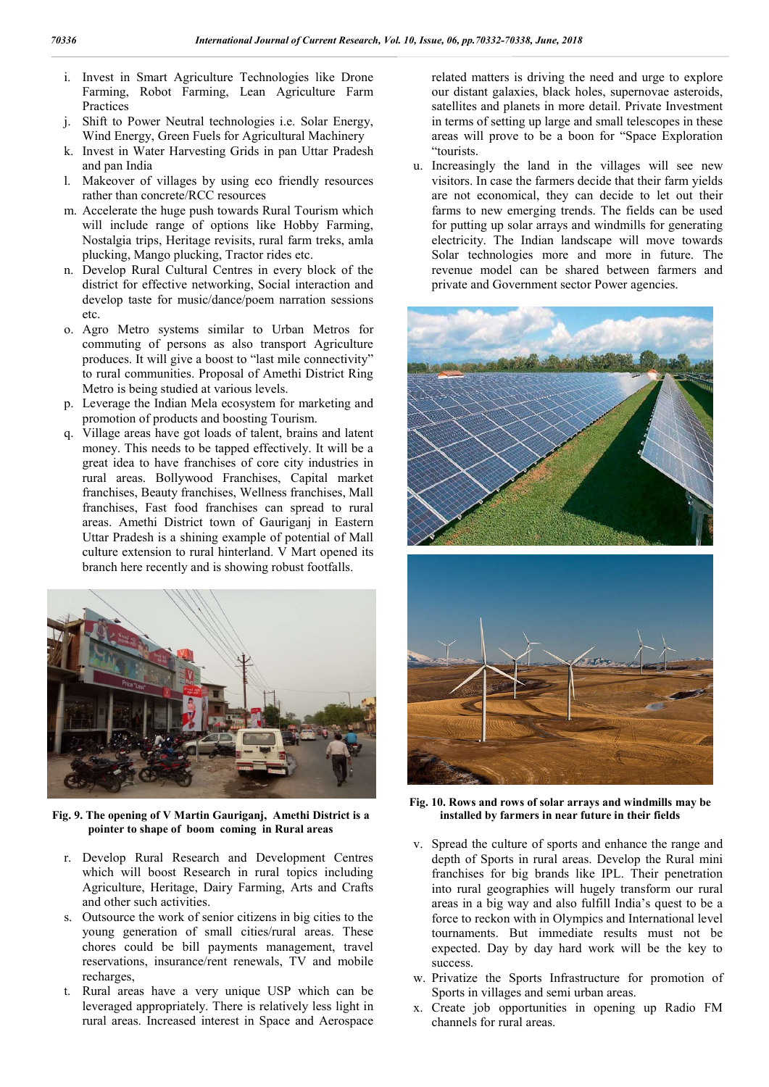- i. Invest in Smart Agriculture Technologies like Drone Farming, Robot Farming, Lean Agriculture Farm Practices
- j. Shift to Power Neutral technologies i.e. Solar Energy, Wind Energy, Green Fuels for Agricultural Machinery
- k. Invest in Water Harvesting Grids in pan Uttar Pradesh and pan India
- l. Makeover of villages by using eco friendly resources rather than concrete/RCC resources
- m. Accelerate the huge push towards Rural Tourism which will include range of options like Hobby Farming, Nostalgia trips, Heritage revisits, rural farm treks, amla plucking, Mango plucking, Tractor rides etc.
- n. Develop Rural Cultural Centres in every block of the district for effective networking, Social interaction and develop taste for music/dance/poem narration sessions etc.
- o. Agro Metro systems similar to Urban Metros for commuting of persons as also transport Agriculture produces. It will give a boost to "last mile connectivity" to rural communities. Proposal of Amethi District Ring Metro is being studied at various levels.
- p. Leverage the Indian Mela ecosystem for marketing and promotion of products and boosting Tourism.
- q. Village areas have got loads of talent, brains and latent money. This needs to be tapped effectively. It will be a great idea to have franchises of core city industries in rural areas. Bollywood Franchises, Capital market franchises, Beauty franchises, Wellness franchises, Mall franchises, Fast food franchises can spread to rural areas. Amethi District town of Gauriganj in Eastern Uttar Pradesh is a shining example of potential of Mall culture extension to rural hinterland. V Mart opened its branch here recently and is showing robust footfalls.



**Fig. 9. The opening of V Martin Gauriganj, Amethi District is a pointer to shape of boom coming in Rural areas**

- r. Develop Rural Research and Development Centres which will boost Research in rural topics including Agriculture, Heritage, Dairy Farming, Arts and Crafts and other such activities.
- s. Outsource the work of senior citizens in big cities to the young generation of small cities/rural areas. These chores could be bill payments management, travel reservations, insurance/rent renewals, TV and mobile recharges,
- t. Rural areas have a very unique USP which can be leveraged appropriately. There is relatively less light in rural areas. Increased interest in Space and Aerospace

related matters is driving the need and urge to explore our distant galaxies, black holes, supernovae asteroids, satellites and planets in more detail. Private Investment in terms of setting up large and small telescopes in these areas will prove to be a boon for "Space Exploration "tourists.

u. Increasingly the land in the villages will see new visitors. In case the farmers decide that their farm yields are not economical, they can decide to let out their farms to new emerging trends. The fields can be used for putting up solar arrays and windmills for generating electricity. The Indian landscape will move towards Solar technologies more and more in future. The revenue model can be shared between farmers and private and Government sector Power agencies.



**Fig. 10. Rows and rows of solar arrays and windmills may be installed by farmers in near future in their fields**

- v. Spread the culture of sports and enhance the range and depth of Sports in rural areas. Develop the Rural mini franchises for big brands like IPL. Their penetration into rural geographies will hugely transform our rural areas in a big way and also fulfill India's quest to be a force to reckon with in Olympics and International level tournaments. But immediate results must not be expected. Day by day hard work will be the key to success.
- w. Privatize the Sports Infrastructure for promotion of Sports in villages and semi urban areas.
- x. Create job opportunities in opening up Radio FM channels for rural areas.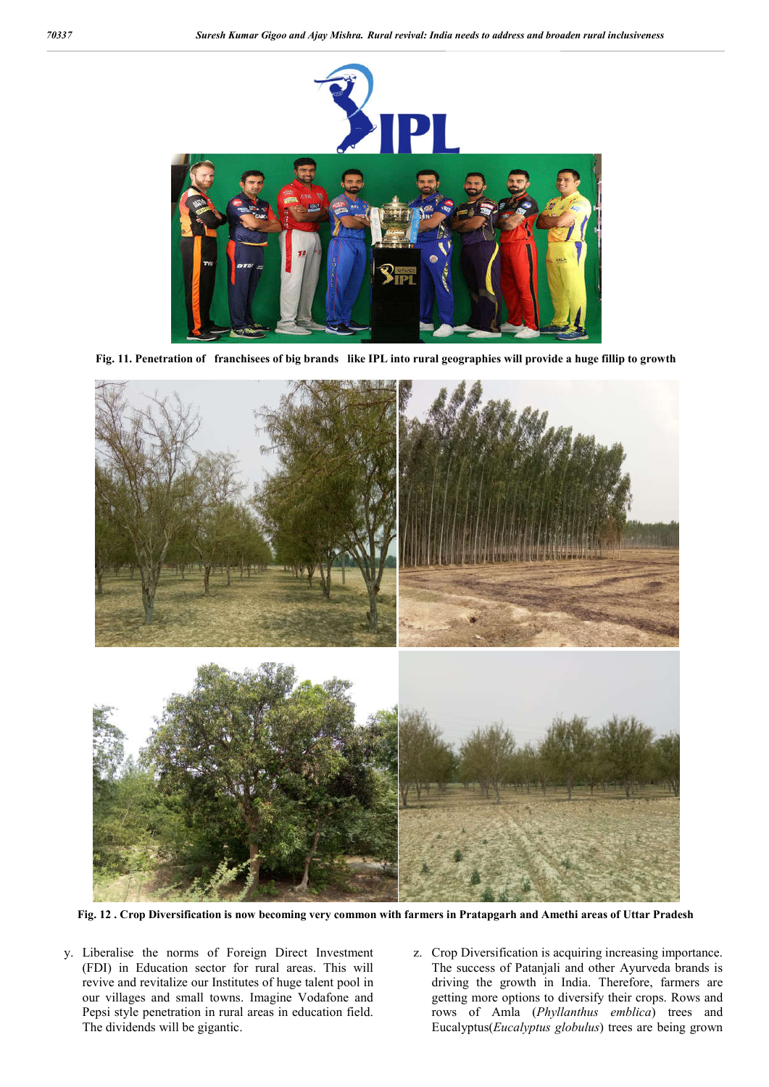

**Fig. 11. Penetration of franchisees of big brands like IPL into rural geographies will provide a huge fillip to growth**



**Fig. 12 . Crop Diversification is now becoming very common with farmers in Pratapgarh and Amethi areas of Uttar Pradesh**

- y. Liberalise the norms of Foreign Direct Investment (FDI) in Education sector for rural areas. This will revive and revitalize our Institutes of huge talent pool in our villages and small towns. Imagine Vodafone and Pepsi style penetration in rural areas in education field. The dividends will be gigantic.
- z. Crop Diversification is acquiring increasing importance. The success of Patanjali and other Ayurveda brands is driving the growth in India. Therefore, farmers are getting more options to diversify their crops. Rows and rows of Amla (*Phyllanthus emblica*) trees and Eucalyptus(*Eucalyptus globulus*) trees are being grown